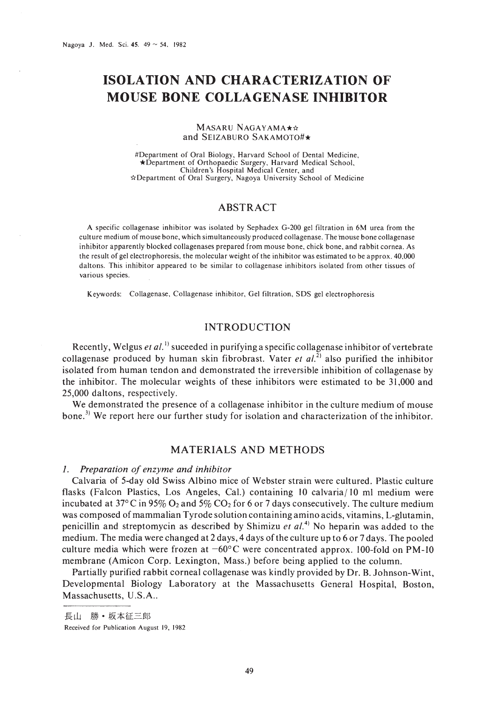# **ISOLATION AND CHARACTERIZATION OF MOUSE BONE COLLAGENASE INHIBITOR**

#### MASARU NAGAYAMA\*\* and SEIZABURO SAKAMOTO#\*

#Department of Oral Biology, Harvard School of Dental Medicine, \*Department of Orthopaedic Surgery, Harvard Medical School, Children's Hospital Medical Center, and \*Department of Oral Surgery, Nagoya University School of Medicine

# ABSTRACT

A specific collagenase inhibitor was isolated by Sephadex G-200 gel filtration in 6M urea from the culture medium of mouse bone, which simultaneously produced collagenase. The mouse bone collagenase inhibitor apparently blocked collagenases prepared from mouse bone, chick bone, and rabbit cornea. As the result of gel electrophoresis, the molecular weight of the inhibitor was estimated to be approx. 40,000 daltons. This inhibitor appeared to be similar to collagenase inhibitors isolated from other tissues of various species.

Keywords: Collagenase, Collagenase inhibitor, Gel filtration, SDS gel electrophoresis

# INTRODUCTION

Recently, Welgus *et al.*<sup>1)</sup> suceeded in purifying a specific collagenase inhibitor of vertebrate collagenase produced by human skin fibrobrast. Vater *et al.*<sup>2)</sup> also purified the inhibitor isolated from human tendon and demonstrated the irreversible inhibition of collagenase by the inhibitor. The molecular weights of these inhibitors were estimated to be 31,000 and 25,000 daltons, respectively.

We demonstrated the presence of a collagenase inhibitor in the culture medium of mouse bone.<sup>3)</sup> We report here our further study for isolation and characterization of the inhibitor.

# MATERIALS AND METHODS

## *1, Preparation of enzyme and inhibitor*

Calvaria of 5-day old Swiss Albino mice of Webster strain were cultured. Plastic culture flasks (Falcon Plastics, Los Angeles, Cal.) containing  $10 \text{ calvaria} / 10 \text{ ml medium were}$ incubated at 37 $\degree$ C in 95% O<sub>2</sub> and 5% CO<sub>2</sub> for 6 or 7 days consecutively. The culture medium was composed of mammalian Tyrode solution containing amino acids, vitamins, L-glutamin, penicillin and streptomycin as described by Shimizu *et al*.<sup>4)</sup> No heparin was added to the medium. The media were changed at 2 days, 4 days of the culture up to 6 or 7 days. The pooled culture media which were frozen at  $-60^{\circ}$ C were concentrated approx. 100-fold on PM-10 membrane (Amicon Corp. Lexington, Mass.) before being applied to the column.

Partially purified rabbit corneal collagenase was kindly provided by Dr. B. Johnson-Wint, Developmental Biology Laboratory at the Massachusetts General Hospital, Boston, Massachusetts, U.S.A..

長山 勝·坂本征三郎

Received for Publication August 19, 1982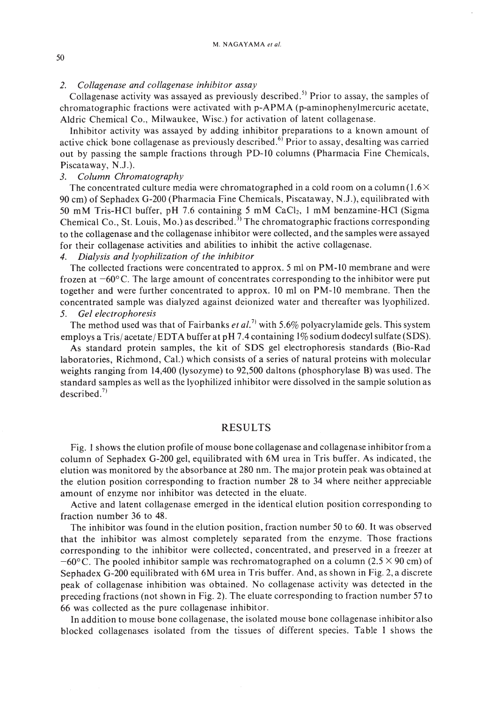## *2. Collagenase and collagenase inhibitor assay*

Collagenase activity was assayed as previously described.<sup>5)</sup> Prior to assay, the samples of chromatographic fractions were activated with p-APMA (p-aminophenylmercuric acetate, Aldric Chemical Co., Milwaukee, Wisc.) for activation of latent collagenase.

Inhibitor activity was assayed by adding inhibitor preparations to a known amount of active chick bone collagenase as previously described.<sup>6)</sup> Prior to assay, desalting was carried out by passing the sample fractions through PO-IO columns (Pharmacia Fine Chemicals, Piscataway, N.J.).

## *3. Column Chromatography*

The concentrated culture media were chromatographed in a cold room on a column  $(1.6\times$ 90 cm) of Sephadex G-200 (Pharmacia Fine Chemicals, Piscataway, N.J.), equilibrated with 50 mM Tris-HCl buffer, pH 7.6 containing 5 mM CaCl<sub>2</sub>, 1 mM benzamine-HCl (Sigma Chemical Co., St. Louis, Mo.) as described.<sup>3)</sup> The chromatographic fractions corresponding to the collagenase and the collagenase inhibitor were collected, and the samples were assayed for their collagenase activities and abilities to inhibit the active collagenase.

### 4. *Dialysis and lyophilization of the inhibitor*

The collected fractions were concentrated to approx. 5 ml on PM-1O membrane and were frozen at  $-60^{\circ}$ C. The large amount of concentrates corresponding to the inhibitor were put together and were further concentrated to approx. 10 ml on PM-1O membrane. Then the concentrated sample was dialyzed against deionized water and thereafter was lyophilized. 5. *Gel electrophoresis*

The method used was that of Fairbanks *et al.*<sup>7)</sup> with 5.6% polyacrylamide gels. This system employs a Tris/ acetate/ EDTA buffer at **pH** 7.4 containing 1% sodium dodecyl sulfate (SOS).

As standard protein samples, the kit of SOS gel electrophoresis standards (Bio-Rad laboratories, Richmond, Cal.) which consists of a series of natural proteins with molecular weights ranging from 14,400 (lysozyme) to 92,500 daltons (phosphorylase B) was used. The standard samples as well as the lyophilized inhibitor were dissolved in the sample solution as described. $\frac{7}{2}$ 

#### RESULTS

Fig. I shows the elution profile of mouse bone collagenase and collagenase inhibitor from a column of Sephadex G-200 gel, equilibrated with 6M urea in Tris buffer. As indicated, the elution was monitored by the absorbance at 280 nm. The major protein peak was obtained at the elution position corresponding to fraction number 28 to 34 where neither appreciable amount of enzyme nor inhibitor was detected in the eluate.

Active and latent collagenase emerged in the identical elution position corresponding to fraction number 36 to 48.

The inhibitor was found in the elution position, fraction number 50 to 60. It was observed that the inhibitor was almost completely separated from the enzyme. Those fractions corresponding to the inhibitor were collected, concentrated, and preserved in a freezer at  $-60^{\circ}$ C. The pooled inhibitor sample was rechromatographed on a column (2.5  $\times$  90 cm) of Sephadex G-200 equilibrated with 6M urea in Tris buffer. And, as shown in Fig. 2, a discrete peak of collagenase inhibition was obtained. No collagenase activity was detected in the preceding fractions (not shown in Fig. 2). The eluate corresponding to fraction number 57 to 66 was collected as the pure collagenase inhibitor.

**In** addition to mouse bone collagenase, the isolated mouse bone collagenase inhibitor also blocked collagenases isolated from the tissues of different species. Table I shows the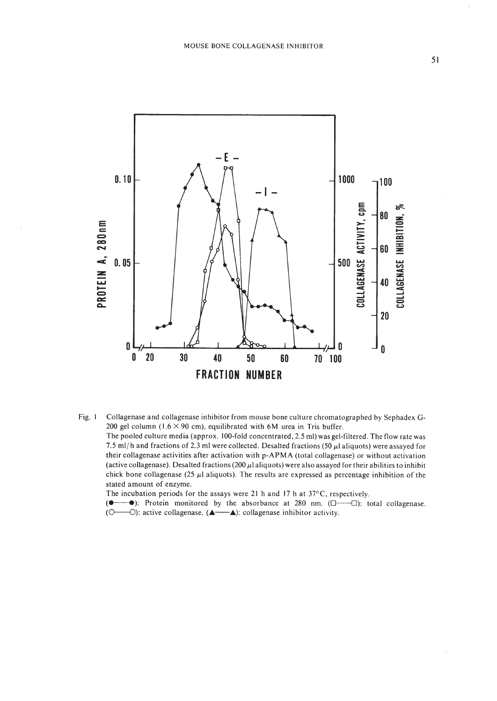

Fig. 1 Collagenase and collagenase inhibitor from mouse bone culture chromatographed by Sephadex G-200 gel column (1.6  $\times$  90 cm), equilibrated with 6M urea in Tris buffer. The pooled culture media (approx. 100-fold concentrated, 2.5 ml) was gel-filtered. The flow rate was 7.5 ml/h and fractions of 2.3 ml were collected. Desalted fractions (50  $\mu$ l aliquots) were assayed for their collagenase activities after activation with p-APMA (total collagenase) or without activation (active collagenase). Desalted fractions (200  $\mu$ l aliquots) were also assayed for their abilities to inhibit chick bone collagenase (25  $\mu$ l aliquots). The results are expressed as percentage inhibition of the stated amount of enzyme. The incubation periods for the assays were 21 h and 17 h at  $37^{\circ}$ C, respectively.

 $\rightarrow$ ): Protein monitored by the absorbance at 280 nm. ( $\Box$  $\rightarrow$  $\Box$ ): total collagenase.  $($ (O—O): active collagenase. (A—A): collagenase inhibitor activity.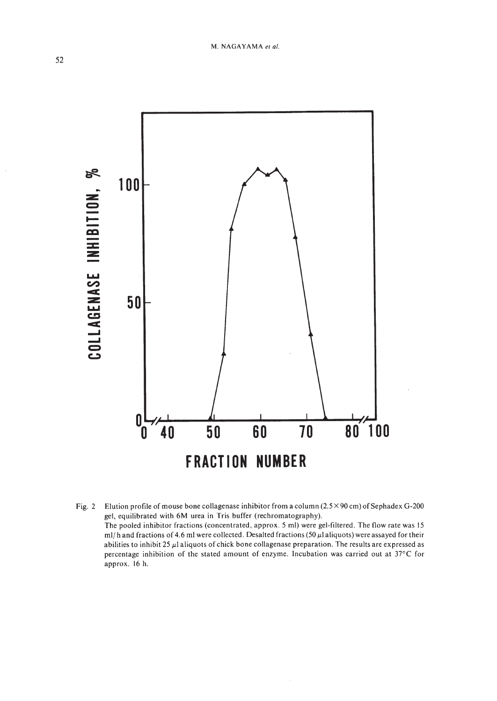

Elution profile of mouse bone collagenase inhibitor from a column  $(2.5 \times 90 \text{ cm})$  of Sephadex G-200 Fig.  $2$ gel, equilibrated with 6M urea in Tris buffer (rechromatography). The pooled inhibitor fractions (concentrated, approx. 5 ml) were gel-filtered. The flow rate was 15 ml/h and fractions of 4.6 ml were collected. Desalted fractions (50  $\mu$ l aliquots) were assayed for their abilities to inhibit 25  $\mu$ l aliquots of chick bone collagenase preparation. The results are expressed as percentage inhibition of the stated amount of enzyme. Incubation was carried out at 37°C for approx. 16 h.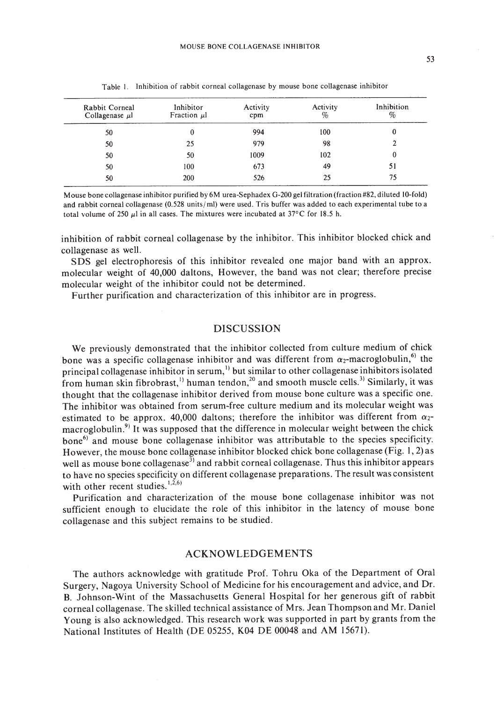| Rabbit Corneal<br>Collagenase $\mu$ | Inhibitor<br>Fraction $\mu$ l | Activity<br>cpm | Activity<br>% | Inhibition<br>$\%$ |
|-------------------------------------|-------------------------------|-----------------|---------------|--------------------|
| 50                                  | $\bf{0}$                      | 994             | 100           | 0                  |
| 50                                  | 25                            | 979             | 98            |                    |
| 50                                  | 50                            | 1009            | 102           | 0                  |
| 50                                  | 100                           | 673             | 49            | 51                 |
| 50                                  | 200                           | 526             | 25            | 75                 |

Table I. Inhibition of rabbit corneal collagenase by mouse bone collagenase inhibitor

Mouse bone collagenase inhibitor purified by 6M urea-Sephadex G-200 gel filtration (fraction #82, diluted IO-fold) and rabbit corneal collagenase (0.528 units/ ml) were used. Tris buffer was added to each experimental tube to a total volume of 250  $\mu$ I in all cases. The mixtures were incubated at 37°C for 18.5 h.

inhibition of rabbit corneal collagenase by the inhibitor. This inhibitor blocked chick and collagenase as well.

SDS gel electrophoresis of this inhibitor revealed one major band with an approx. molecular weight of 40,000 daltons, However, the band was not clear; therefore precise molecular weight of the inhibitor could not be determined.

Further purification and characterization of this inhibitor are in progress.

#### DISCUSSION

We previously demonstrated that the inhibitor collected from culture medium of chick bone was a specific collagenase inhibitor and was different from  $\alpha_2$ -macroglobulin,<sup>6)</sup> the principal collagenase inhibitor in serum, $\frac{1}{1}$  but similar to other collagenase inhibitors isolated from human skin fibrobrast,<sup>1)</sup> human tendon,<sup>20</sup> and smooth muscle cells.<sup>3)</sup> Similarly, it was thought that the collagenase inhibitor derived from mouse bone culture was a specific one. The inhibitor was obtained from serum-free culture medium and its molecular weight was estimated to be approx. 40,000 daltons; therefore the inhibitor was different from  $\alpha_2$ macroglobulin.<sup>9)</sup> It was supposed that the difference in molecular weight between the chick  $bone<sup>6</sup>$  and mouse bone collagenase inhibitor was attributable to the species specificity: However, the mouse bone collagenase inhibitor blocked chick bone collagenase (Fig. 1,2) as well as mouse bone collagenase<sup>3)</sup> and rabbit corneal collagenase. Thus this inhibitor appears to have no species specificity on different collagenase preparations. The result was consistent with other recent studies.  $1,2,6$ )

Purification and characterization of the mouse bone collagenase inhibitor was not sufficient enough to elucidate the role of this inhibitor in the latency of mouse bone collagenase and this subject remains to be studied.

#### ACKNOWLEDGEMENTS

The authors acknowledge with gratitude Prof. Tohru Oka of the Department of Oral Surgery, Nagoya University School of Medicine for his encouragement and advice, and Dr. B. Johnson-Wint of the Massachusetts General Hospital for her generous gift of rabbit corneal collagenase. The skilled technical assistance of Mrs. Jean Thompson and Mr. Daniel Young is also acknowledged. This research work was supported in part by grants from the National Institutes of Health (DE 05255, K04 OE 00048 and AM 15671).